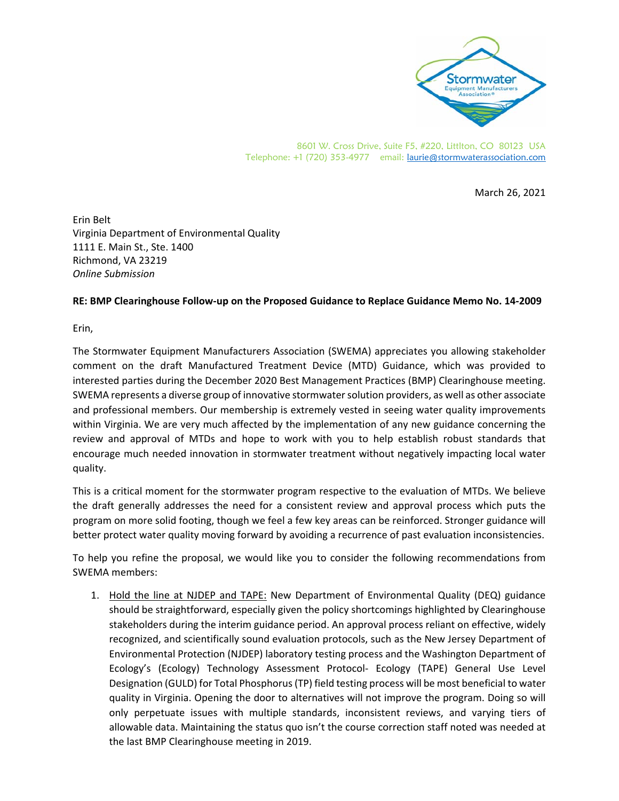

March 26, 2021

Erin Belt Virginia Department of Environmental Quality 1111 E. Main St., Ste. 1400 Richmond, VA 23219 *Online Submission* 

## **RE: BMP Clearinghouse Follow‐up on the Proposed Guidance to Replace Guidance Memo No. 14‐2009**

Erin,

The Stormwater Equipment Manufacturers Association (SWEMA) appreciates you allowing stakeholder comment on the draft Manufactured Treatment Device (MTD) Guidance, which was provided to interested parties during the December 2020 Best Management Practices (BMP) Clearinghouse meeting. SWEMA represents a diverse group of innovative stormwater solution providers, as well as other associate and professional members. Our membership is extremely vested in seeing water quality improvements within Virginia. We are very much affected by the implementation of any new guidance concerning the review and approval of MTDs and hope to work with you to help establish robust standards that encourage much needed innovation in stormwater treatment without negatively impacting local water quality.

This is a critical moment for the stormwater program respective to the evaluation of MTDs. We believe the draft generally addresses the need for a consistent review and approval process which puts the program on more solid footing, though we feel a few key areas can be reinforced. Stronger guidance will better protect water quality moving forward by avoiding a recurrence of past evaluation inconsistencies.

To help you refine the proposal, we would like you to consider the following recommendations from SWEMA members:

1. Hold the line at NJDEP and TAPE: New Department of Environmental Quality (DEQ) guidance should be straightforward, especially given the policy shortcomings highlighted by Clearinghouse stakeholders during the interim guidance period. An approval process reliant on effective, widely recognized, and scientifically sound evaluation protocols, such as the New Jersey Department of Environmental Protection (NJDEP) laboratory testing process and the Washington Department of Ecology's (Ecology) Technology Assessment Protocol‐ Ecology (TAPE) General Use Level Designation (GULD) for Total Phosphorus (TP) field testing process will be most beneficial to water quality in Virginia. Opening the door to alternatives will not improve the program. Doing so will only perpetuate issues with multiple standards, inconsistent reviews, and varying tiers of allowable data. Maintaining the status quo isn't the course correction staff noted was needed at the last BMP Clearinghouse meeting in 2019.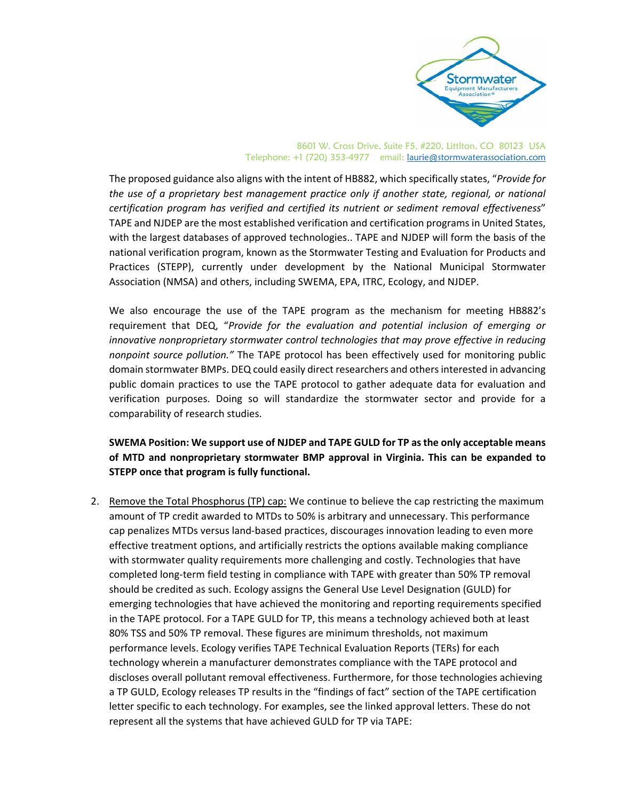

The proposed guidance also aligns with the intent of HB882, which specifically states, "*Provide for the use of a proprietary best management practice only if another state, regional, or national certification program has verified and certified its nutrient or sediment removal effectiveness*" TAPE and NJDEP are the most established verification and certification programs in United States, with the largest databases of approved technologies.. TAPE and NJDEP will form the basis of the national verification program, known as the Stormwater Testing and Evaluation for Products and Practices (STEPP), currently under development by the National Municipal Stormwater Association (NMSA) and others, including SWEMA, EPA, ITRC, Ecology, and NJDEP.

We also encourage the use of the TAPE program as the mechanism for meeting HB882's requirement that DEQ, "*Provide for the evaluation and potential inclusion of emerging or innovative nonproprietary stormwater control technologies that may prove effective in reducing nonpoint source pollution."* The TAPE protocol has been effectively used for monitoring public domain stormwater BMPs. DEQ could easily direct researchers and others interested in advancing public domain practices to use the TAPE protocol to gather adequate data for evaluation and verification purposes. Doing so will standardize the stormwater sector and provide for a comparability of research studies.

## **SWEMA Position: We support use of NJDEP and TAPE GULD for TP as the only acceptable means of MTD and nonproprietary stormwater BMP approval in Virginia. This can be expanded to STEPP once that program is fully functional.**

2. Remove the Total Phosphorus (TP) cap: We continue to believe the cap restricting the maximum amount of TP credit awarded to MTDs to 50% is arbitrary and unnecessary. This performance cap penalizes MTDs versus land‐based practices, discourages innovation leading to even more effective treatment options, and artificially restricts the options available making compliance with stormwater quality requirements more challenging and costly. Technologies that have completed long‐term field testing in compliance with TAPE with greater than 50% TP removal should be credited as such. Ecology assigns the General Use Level Designation (GULD) for emerging technologies that have achieved the monitoring and reporting requirements specified in the TAPE protocol. For a TAPE GULD for TP, this means a technology achieved both at least 80% TSS and 50% TP removal. These figures are minimum thresholds, not maximum performance levels. Ecology verifies TAPE Technical Evaluation Reports (TERs) for each technology wherein a manufacturer demonstrates compliance with the TAPE protocol and discloses overall pollutant removal effectiveness. Furthermore, for those technologies achieving a TP GULD, Ecology releases TP results in the "findings of fact" section of the TAPE certification letter specific to each technology. For examples, see the linked approval letters. These do not represent all the systems that have achieved GULD for TP via TAPE: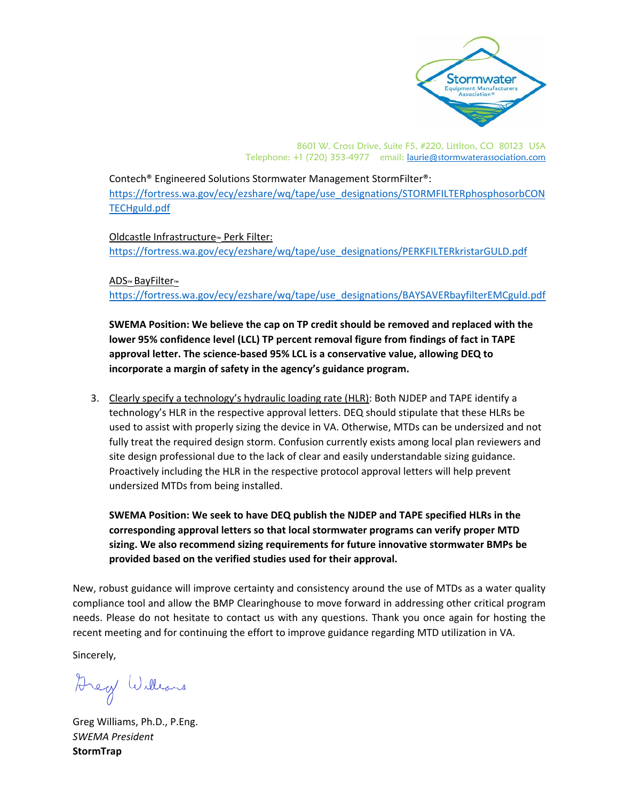

Contech® Engineered Solutions Stormwater Management StormFilter®: https://fortress.wa.gov/ecy/ezshare/wq/tape/use\_designations/STORMFILTERphosphosorbCON TECHguld.pdf

Oldcastle Infrastructure™ Perk Filter: https://fortress.wa.gov/ecy/ezshare/wq/tape/use\_designations/PERKFILTERkristarGULD.pdf

ADS™ BayFilter™

https://fortress.wa.gov/ecy/ezshare/wq/tape/use\_designations/BAYSAVERbayfilterEMCguld.pdf

**SWEMA Position: We believe the cap on TP credit should be removed and replaced with the lower 95% confidence level (LCL) TP percent removal figure from findings of fact in TAPE approval letter. The science‐based 95% LCL is a conservative value, allowing DEQ to incorporate a margin of safety in the agency's guidance program.** 

3. Clearly specify a technology's hydraulic loading rate (HLR): Both NJDEP and TAPE identify a technology's HLR in the respective approval letters. DEQ should stipulate that these HLRs be used to assist with properly sizing the device in VA. Otherwise, MTDs can be undersized and not fully treat the required design storm. Confusion currently exists among local plan reviewers and site design professional due to the lack of clear and easily understandable sizing guidance. Proactively including the HLR in the respective protocol approval letters will help prevent undersized MTDs from being installed.

**SWEMA Position: We seek to have DEQ publish the NJDEP and TAPE specified HLRs in the corresponding approval letters so that local stormwater programs can verify proper MTD sizing. We also recommend sizing requirements for future innovative stormwater BMPs be provided based on the verified studies used for their approval.**

New, robust guidance will improve certainty and consistency around the use of MTDs as a water quality compliance tool and allow the BMP Clearinghouse to move forward in addressing other critical program needs. Please do not hesitate to contact us with any questions. Thank you once again for hosting the recent meeting and for continuing the effort to improve guidance regarding MTD utilization in VA.

Sincerely,

Arey Williams

Greg Williams, Ph.D., P.Eng. *SWEMA President*  **StormTrap**